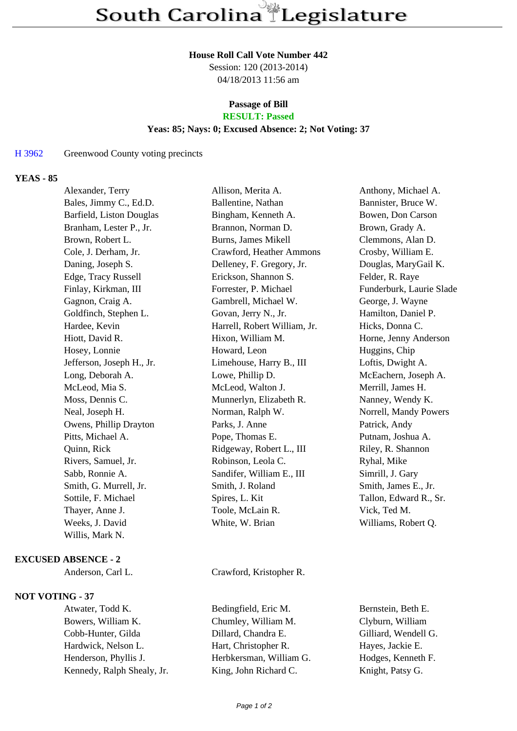#### **House Roll Call Vote Number 442**

Session: 120 (2013-2014) 04/18/2013 11:56 am

# **Passage of Bill**

## **RESULT: Passed**

## **Yeas: 85; Nays: 0; Excused Absence: 2; Not Voting: 37**

#### H 3962 Greenwood County voting precincts

### **YEAS - 85**

| Alexander, Terry          | Allison, Merita A.           | Anthony, Michael A.      |
|---------------------------|------------------------------|--------------------------|
| Bales, Jimmy C., Ed.D.    | Ballentine, Nathan           | Bannister, Bruce W.      |
| Barfield, Liston Douglas  | Bingham, Kenneth A.          | Bowen, Don Carson        |
| Branham, Lester P., Jr.   | Brannon, Norman D.           | Brown, Grady A.          |
| Brown, Robert L.          | Burns, James Mikell          | Clemmons, Alan D.        |
| Cole, J. Derham, Jr.      | Crawford, Heather Ammons     | Crosby, William E.       |
| Daning, Joseph S.         | Delleney, F. Gregory, Jr.    | Douglas, MaryGail K.     |
| Edge, Tracy Russell       | Erickson, Shannon S.         | Felder, R. Raye          |
| Finlay, Kirkman, III      | Forrester, P. Michael        | Funderburk, Laurie Slade |
| Gagnon, Craig A.          | Gambrell, Michael W.         | George, J. Wayne         |
| Goldfinch, Stephen L.     | Govan, Jerry N., Jr.         | Hamilton, Daniel P.      |
| Hardee, Kevin             | Harrell, Robert William, Jr. | Hicks, Donna C.          |
| Hiott, David R.           | Hixon, William M.            | Horne, Jenny Anderson    |
| Hosey, Lonnie             | Howard, Leon                 | Huggins, Chip            |
| Jefferson, Joseph H., Jr. | Limehouse, Harry B., III     | Loftis, Dwight A.        |
| Long, Deborah A.          | Lowe, Phillip D.             | McEachern, Joseph A.     |
| McLeod, Mia S.            | McLeod, Walton J.            | Merrill, James H.        |
| Moss, Dennis C.           | Munnerlyn, Elizabeth R.      | Nanney, Wendy K.         |
| Neal, Joseph H.           | Norman, Ralph W.             | Norrell, Mandy Powers    |
| Owens, Phillip Drayton    | Parks, J. Anne               | Patrick, Andy            |
| Pitts, Michael A.         | Pope, Thomas E.              | Putnam, Joshua A.        |
| Quinn, Rick               | Ridgeway, Robert L., III     | Riley, R. Shannon        |
| Rivers, Samuel, Jr.       | Robinson, Leola C.           | Ryhal, Mike              |
| Sabb, Ronnie A.           | Sandifer, William E., III    | Simrill, J. Gary         |
| Smith, G. Murrell, Jr.    | Smith, J. Roland             | Smith, James E., Jr.     |
| Sottile, F. Michael       | Spires, L. Kit               | Tallon, Edward R., Sr.   |
| Thayer, Anne J.           | Toole, McLain R.             | Vick, Ted M.             |
| Weeks, J. David           | White, W. Brian              | Williams, Robert Q.      |
| Willis, Mark N.           |                              |                          |
|                           |                              |                          |

#### **EXCUSED ABSENCE - 2**

#### **NOT VOTING - 37**

Bowers, William K. Chumley, William M. Clyburn, William Cobb-Hunter, Gilda Dillard, Chandra E. Gilliard, Wendell G. Hardwick, Nelson L. Hart, Christopher R. Hayes, Jackie E. Henderson, Phyllis J. Herbkersman, William G. Kennedy, Ralph Shealy, Jr. King, John Richard C. Knight, Patsy G.

Anderson, Carl L. Crawford, Kristopher R.

Atwater, Todd K. Bedingfield, Eric M. Bernstein, Beth E.